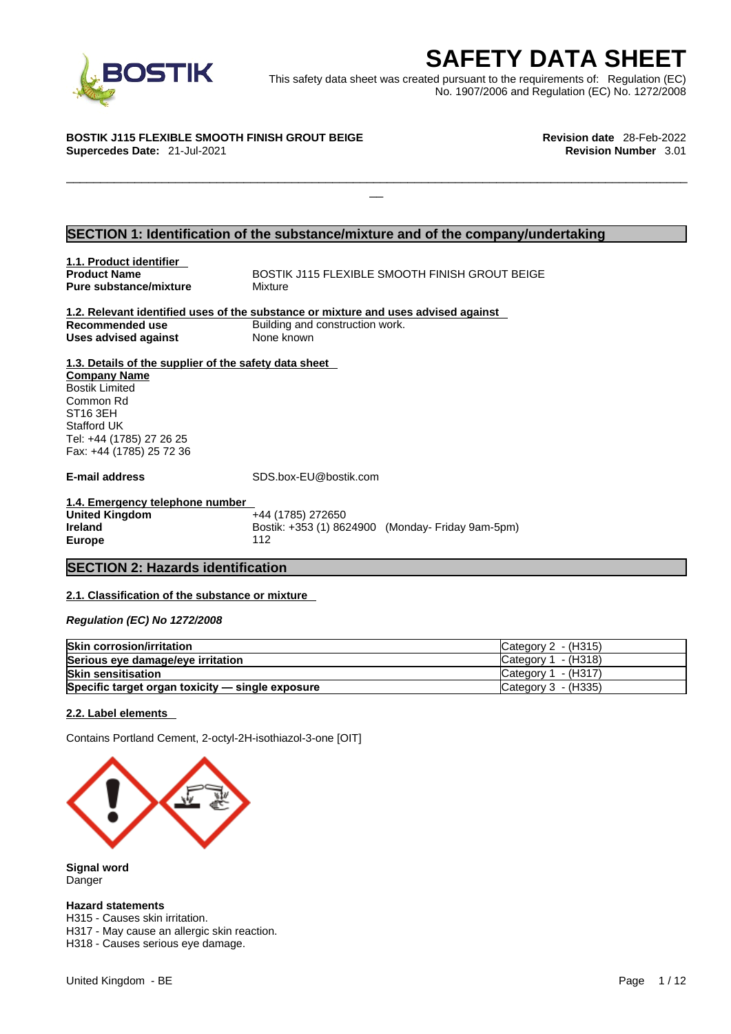

EXECRETY DATA SHEET<br>
Et was created pursuant to the requirements of: Regulation (EC)<br>
No. 1907/2006 and Regulation (EC) No. 1272/2008<br>
Revision date 28-Feb-2022<br>
Revision Number 3.01 This safety data sheet was created pursuant to the requirements of: Regulation (EC) No. 1907/2006 and Regulation (EC) No. 1272/2008

 $\Box$ 

### **BOSTIK J115 FLEXIBLE SMOOTH FINISH GROUT BEIGE Revision date** 28-Feb-2022

**Supercedes Date:** 21-Jul-2021 **Revision Number** 3.01

### **SECTION 1: Identification of the substance/mixture and of the company/undertaking**

**1.1. Product identifier Pure substance/mixture Mixture** 

**BOSTIK J115 FLEXIBLE SMOOTH FINISH GROUT BEIGE** 

### **1.2. Relevant identified uses of the substance or mixture and uses advised against Recommended use Building and construction work. Uses advised against** None known

**1.3. Details of the supplier of the safety data sheet Company Name** Bostik Limited Common Rd ST16 3EH Stafford UK Tel: +44 (1785) 27 26 25 Fax: +44 (1785) 25 72 36

**E-mail address** SDS.box-EU@bostik.com

**1.4. Emergency telephone number United Kingdom Ireland Bostik: +353 (1) 8624900 (Monday- Friday 9am-5pm) Europe** 112

### **SECTION 2: Hazards identification**

### **2.1. Classification of the substance or mixture**

*Regulation (EC) No 1272/2008* 

| <b>Skin corrosion/irritation</b>                 | Category 2 - (H315)   |
|--------------------------------------------------|-----------------------|
| Serious eye damage/eye irritation                | Category $1 - (H318)$ |
| <b>Skin sensitisation</b>                        | Category $1 - (H317)$ |
| Specific target organ toxicity - single exposure | Category 3 - (H335)   |

### **2.2. Label elements**

Contains Portland Cement, 2-octyl-2H-isothiazol-3-one [OIT]



**Signal word** Danger

### **Hazard statements**

H315 - Causes skin irritation. H317 - May cause an allergic skin reaction. H318 - Causes serious eye damage.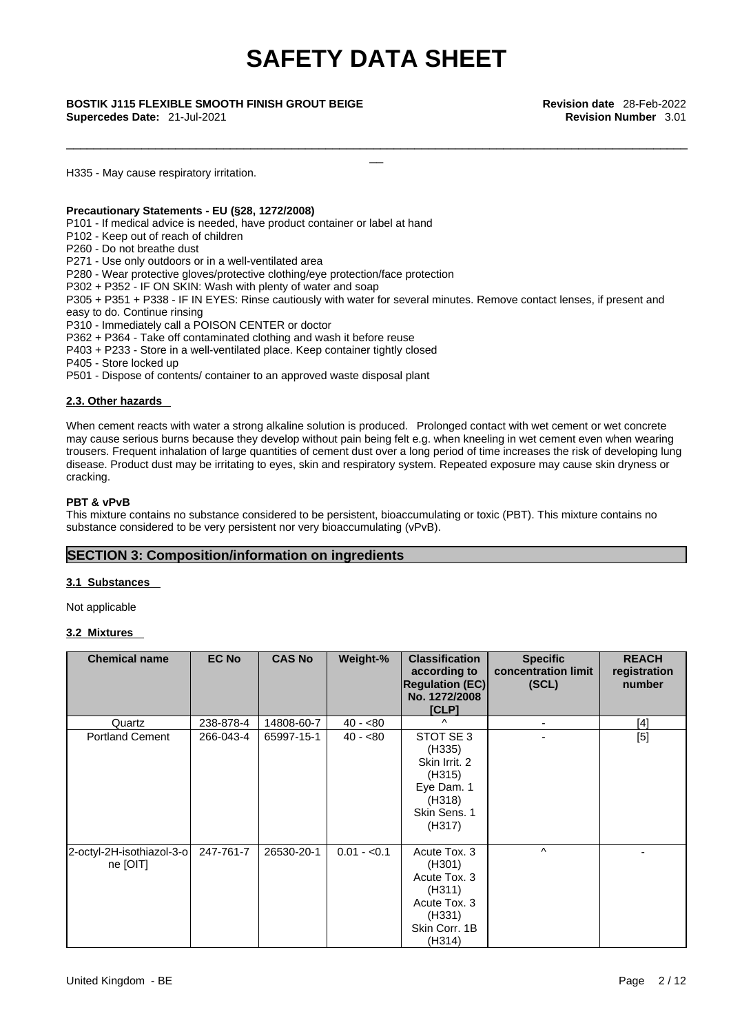\_\_\_\_\_\_\_\_\_\_\_\_\_\_\_\_\_\_\_\_\_\_\_\_\_\_\_\_\_\_\_\_\_\_\_\_\_\_\_\_\_\_\_\_\_\_\_\_\_\_\_\_\_\_\_\_\_\_\_\_\_\_\_\_\_\_\_\_\_\_\_\_\_\_\_\_\_\_\_\_\_\_\_\_\_\_\_\_\_\_\_

\_\_ **BOSTIK J115 FLEXIBLE SMOOTH FINISH GROUT BEIGE Revision date** 28-Feb-2022 **Supercedes Date:** 21-Jul-2021 **Revision Number** 3.01

H335 - May cause respiratory irritation.

### **Precautionary Statements - EU (§28, 1272/2008)**

P101 - If medical advice is needed, have product container or label at hand

P102 - Keep out of reach of children

P260 - Do not breathe dust

P271 - Use only outdoors or in a well-ventilated area

P280 - Wear protective gloves/protective clothing/eye protection/face protection

P302 + P352 - IF ON SKIN: Wash with plenty of water and soap

P305 + P351 + P338 - IF IN EYES: Rinse cautiously with water for several minutes. Remove contact lenses, if present and easy to do. Continue rinsing

P310 - Immediately call a POISON CENTER or doctor

P362 + P364 - Take off contaminated clothing and wash it before reuse

P403 + P233 - Store in a well-ventilated place. Keep container tightly closed

P405 - Store locked up

P501 - Dispose of contents/ container to an approved waste disposal plant

### **2.3. Other hazards**

When cement reacts with water a strong alkaline solution is produced. Prolonged contact with wet cement or wet concrete may cause serious burns because they develop without pain being felt e.g. when kneeling in wet cement even when wearing trousers. Frequent inhalation of large quantities of cement dust over a long period of time increases the risk of developing lung disease. Product dust may be irritating to eyes, skin and respiratory system. Repeated exposure may cause skin dryness or cracking.

### **PBT & vPvB**

This mixture contains no substance considered to be persistent, bioaccumulating or toxic (PBT). This mixture contains no substance considered to be very persistent nor very bioaccumulating (vPvB).

### **SECTION 3: Composition/information on ingredients**

### **3.1 Substances**

Not applicable

### **3.2 Mixtures**

| <b>Chemical name</b>                  | <b>EC No</b> | <b>CAS No</b> | Weight-%     | <b>Classification</b><br>according to<br><b>Regulation (EC)</b><br>No. 1272/2008<br>[CLP]             | <b>Specific</b><br>concentration limit<br>(SCL) | <b>REACH</b><br>registration<br>number |
|---------------------------------------|--------------|---------------|--------------|-------------------------------------------------------------------------------------------------------|-------------------------------------------------|----------------------------------------|
| Quartz                                | 238-878-4    | 14808-60-7    | $40 - 80$    | $\wedge$                                                                                              | $\blacksquare$                                  | [4]                                    |
| <b>Portland Cement</b>                | 266-043-4    | 65997-15-1    | $40 - 80$    | STOT SE 3<br>(H335)<br>Skin Irrit, 2<br>(H315)<br>Eye Dam. 1<br>(H318)<br>Skin Sens. 1<br>(H317)      |                                                 | $[5]$                                  |
| 2-octyl-2H-isothiazol-3-o<br>ne [OIT] | 247-761-7    | 26530-20-1    | $0.01 - 0.1$ | Acute Tox. 3<br>(H301)<br>Acute Tox. 3<br>(H311)<br>Acute Tox. 3<br>(H331)<br>Skin Corr. 1B<br>(H314) | $\wedge$                                        |                                        |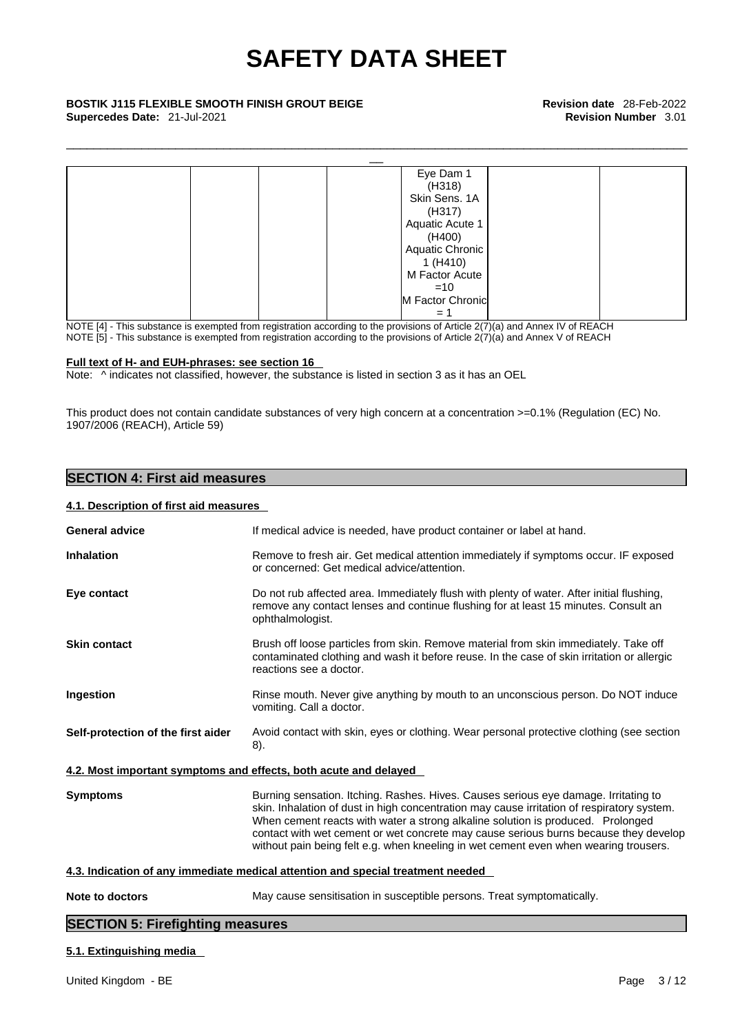\_\_\_\_\_\_\_\_\_\_\_\_\_\_\_\_\_\_\_\_\_\_\_\_\_\_\_\_\_\_\_\_\_\_\_\_\_\_\_\_\_\_\_\_\_\_\_\_\_\_\_\_\_\_\_\_\_\_\_\_\_\_\_\_\_\_\_\_\_\_\_\_\_\_\_\_\_\_\_\_\_\_\_\_\_\_\_\_\_\_\_

| <b>BOSTIK J115 FLEXIBLE SMOOTH FINISH GROUT BEIGE</b><br>Supercedes Date: 21-Jul-2021 |                  | <b>Revision date</b> 28-Feb-2022<br><b>Revision Number 3.01</b> |
|---------------------------------------------------------------------------------------|------------------|-----------------------------------------------------------------|
|                                                                                       |                  |                                                                 |
|                                                                                       | Eye Dam 1        |                                                                 |
|                                                                                       | (H318)           |                                                                 |
|                                                                                       | Skin Sens. 1A    |                                                                 |
|                                                                                       | (H317)           |                                                                 |
|                                                                                       | Aquatic Acute 1  |                                                                 |
|                                                                                       | (H400)           |                                                                 |
|                                                                                       | Aquatic Chronic  |                                                                 |
|                                                                                       | 1(H410)          |                                                                 |
|                                                                                       | M Factor Acute   |                                                                 |
|                                                                                       | $=10$            |                                                                 |
|                                                                                       | M Factor Chronic |                                                                 |
|                                                                                       | $= 1$            |                                                                 |

NOTE [4] - This substance is exempted from registration according to the provisions of Article 2(7)(a) and Annex IV of REACH NOTE [5] - This substance is exempted from registration according to the provisions of Article  $2(7)(a)$  and Annex V of REACH

### **Full text of H- and EUH-phrases: see section 16**

Note: ^ indicates not classified, however, the substance is listed in section 3 as it has an OEL

This product does not contain candidate substances of very high concern at a concentration >=0.1% (Regulation (EC) No. 1907/2006 (REACH), Article 59)

### **SECTION 4: First aid measures**

### **4.1. Description of first aid measures**

| <b>General advice</b>              | If medical advice is needed, have product container or label at hand.                                                                                                                                                                                                                                                                                                                                                                                |
|------------------------------------|------------------------------------------------------------------------------------------------------------------------------------------------------------------------------------------------------------------------------------------------------------------------------------------------------------------------------------------------------------------------------------------------------------------------------------------------------|
| <b>Inhalation</b>                  | Remove to fresh air. Get medical attention immediately if symptoms occur. IF exposed<br>or concerned: Get medical advice/attention.                                                                                                                                                                                                                                                                                                                  |
| Eye contact                        | Do not rub affected area. Immediately flush with plenty of water. After initial flushing,<br>remove any contact lenses and continue flushing for at least 15 minutes. Consult an<br>ophthalmologist.                                                                                                                                                                                                                                                 |
| <b>Skin contact</b>                | Brush off loose particles from skin. Remove material from skin immediately. Take off<br>contaminated clothing and wash it before reuse. In the case of skin irritation or allergic<br>reactions see a doctor.                                                                                                                                                                                                                                        |
| Ingestion                          | Rinse mouth. Never give anything by mouth to an unconscious person. Do NOT induce<br>vomiting. Call a doctor.                                                                                                                                                                                                                                                                                                                                        |
| Self-protection of the first aider | Avoid contact with skin, eyes or clothing. Wear personal protective clothing (see section<br>8).                                                                                                                                                                                                                                                                                                                                                     |
|                                    | 4.2. Most important symptoms and effects, both acute and delayed                                                                                                                                                                                                                                                                                                                                                                                     |
| <b>Symptoms</b>                    | Burning sensation. Itching. Rashes. Hives. Causes serious eye damage. Irritating to<br>skin. Inhalation of dust in high concentration may cause irritation of respiratory system.<br>When cement reacts with water a strong alkaline solution is produced. Prolonged<br>contact with wet cement or wet concrete may cause serious burns because they develop<br>without pain being felt e.g. when kneeling in wet cement even when wearing trousers. |
|                                    | 4.3. Indication of any immediate medical attention and special treatment needed                                                                                                                                                                                                                                                                                                                                                                      |
| Note to doctors                    | May cause sensitisation in susceptible persons. Treat symptomatically.                                                                                                                                                                                                                                                                                                                                                                               |
|                                    |                                                                                                                                                                                                                                                                                                                                                                                                                                                      |

### **SECTION 5: Firefighting measures**

### **5.1. Extinguishing media**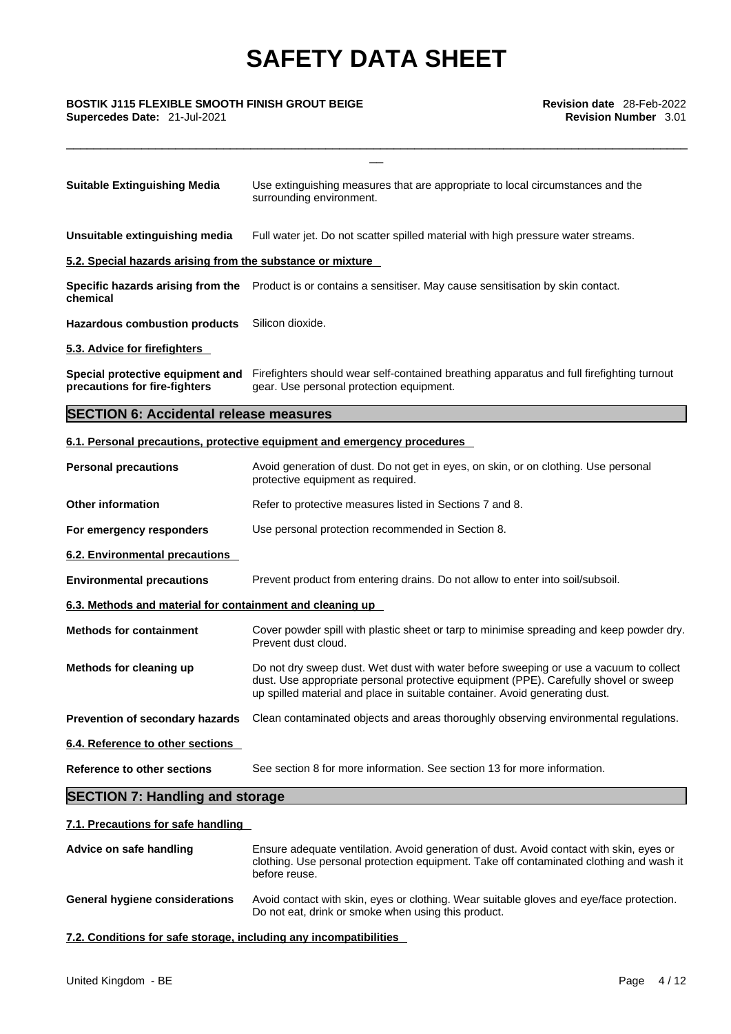\_\_\_\_\_\_\_\_\_\_\_\_\_\_\_\_\_\_\_\_\_\_\_\_\_\_\_\_\_\_\_\_\_\_\_\_\_\_\_\_\_\_\_\_\_\_\_\_\_\_\_\_\_\_\_\_\_\_\_\_\_\_\_\_\_\_\_\_\_\_\_\_\_\_\_\_\_\_\_\_\_\_\_\_\_\_\_\_\_\_\_

# \_\_ **BOSTIK J115 FLEXIBLE SMOOTH FINISH GROUT BEIGE Revision date** 28-Feb-2022

**Supercedes Date:** 21-Jul-2021 **Revision Number** 3.01

| <b>Suitable Extinguishing Media</b>                               | Use extinguishing measures that are appropriate to local circumstances and the<br>surrounding environment.                            |
|-------------------------------------------------------------------|---------------------------------------------------------------------------------------------------------------------------------------|
| Unsuitable extinguishing media                                    | Full water jet. Do not scatter spilled material with high pressure water streams.                                                     |
| 5.2. Special hazards arising from the substance or mixture        |                                                                                                                                       |
| chemical                                                          | Specific hazards arising from the Product is or contains a sensitiser. May cause sensitisation by skin contact.                       |
| <b>Hazardous combustion products</b>                              | Silicon dioxide.                                                                                                                      |
| 5.3. Advice for firefighters                                      |                                                                                                                                       |
| Special protective equipment and<br>precautions for fire-fighters | Firefighters should wear self-contained breathing apparatus and full firefighting turnout<br>gear. Use personal protection equipment. |
| <b>SECTION 6: Accidental release measures</b>                     |                                                                                                                                       |
|                                                                   | 6.1. Personal precautions, protective equipment and emergency procedures                                                              |
| <b>Personal precautions</b>                                       | Avoid generation of dust. Do not get in eyes, on skin, or on clothing. Use personal<br>protective equipment as required.              |
| <b>Other information</b>                                          | Refer to protective measures listed in Sections 7 and 8.                                                                              |

**For emergency responders** Use personal protection recommended in Section 8.

**6.2. Environmental precautions** 

- **Environmental precautions** Prevent product from entering drains. Do not allow to enter into soil/subsoil.
- **6.3. Methods and material for containment and cleaning up**
- **Methods for containment** Cover powder spill with plastic sheet or tarp to minimise spreading and keep powder dry. Prevent dust cloud.
- **Methods for cleaning up** Do not dry sweep dust. Wet dust with water before sweeping or use a vacuum to collect dust. Use appropriate personal protective equipment (PPE). Carefully shovel or sweep up spilled material and place in suitable container. Avoid generating dust.

**Prevention of secondary hazards** Clean contaminated objects and areas thoroughly observing environmental regulations.

**6.4. Reference to other sections** 

**Reference to other sections** See section 8 for more information. See section 13 for more information.

### **SECTION 7: Handling and storage**

### **7.1. Precautions for safe handling**

**Advice on safe handling** Ensure adequate ventilation. Avoid generation of dust. Avoid contact with skin, eyes or clothing. Use personal protection equipment. Take off contaminated clothing and wash it before reuse. **General hygiene considerations** Avoid contact with skin, eyes or clothing. Wear suitable gloves and eye/face protection. Do not eat, drink or smoke when using this product.

**7.2. Conditions for safe storage, including any incompatibilities**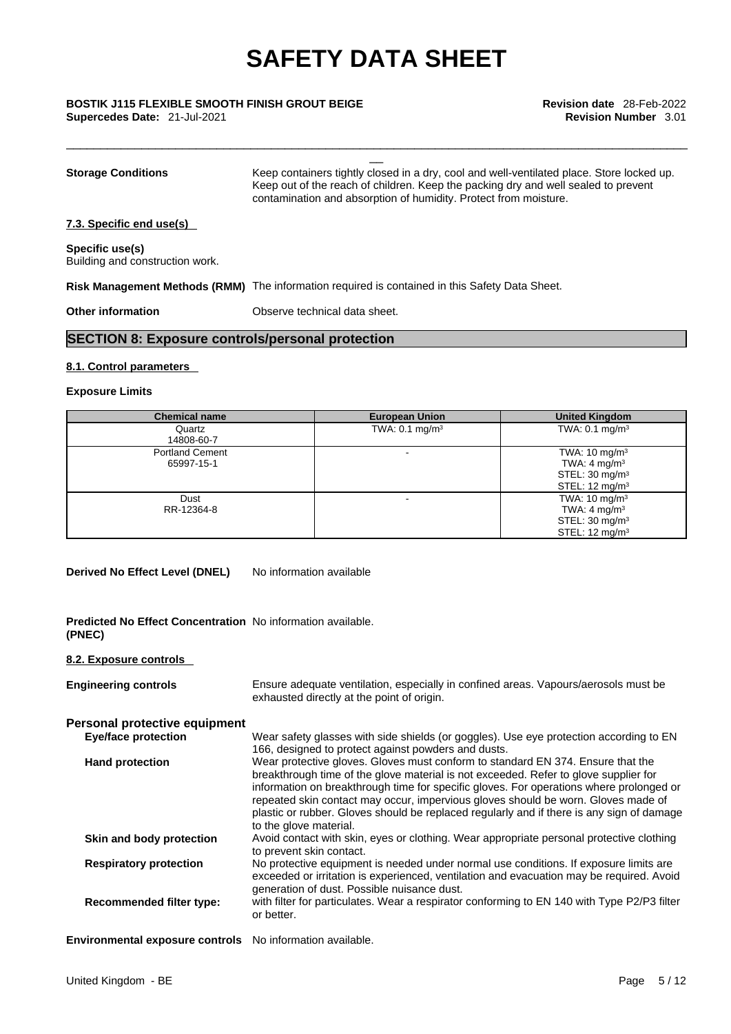\_\_\_\_\_\_\_\_\_\_\_\_\_\_\_\_\_\_\_\_\_\_\_\_\_\_\_\_\_\_\_\_\_\_\_\_\_\_\_\_\_\_\_\_\_\_\_\_\_\_\_\_\_\_\_\_\_\_\_\_\_\_\_\_\_\_\_\_\_\_\_\_\_\_\_\_\_\_\_\_\_\_\_\_\_\_\_\_\_\_\_

# \_\_ **BOSTIK J115 FLEXIBLE SMOOTH FINISH GROUT BEIGE Revision date** 28-Feb-2022

**Supercedes Date:** 21-Jul-2021 **Revision Number** 3.01

| <b>Storage Conditions</b>                          | Keep containers tightly closed in a dry, cool and well-ventilated place. Store locked up.<br>Keep out of the reach of children. Keep the packing dry and well sealed to prevent<br>contamination and absorption of humidity. Protect from moisture. |
|----------------------------------------------------|-----------------------------------------------------------------------------------------------------------------------------------------------------------------------------------------------------------------------------------------------------|
| 7.3. Specific end use(s)                           |                                                                                                                                                                                                                                                     |
| Specific use(s)<br>Building and construction work. |                                                                                                                                                                                                                                                     |
|                                                    | Risk Management Methods (RMM) The information required is contained in this Safety Data Sheet.                                                                                                                                                      |
| <b>Other information</b>                           | Observe technical data sheet.                                                                                                                                                                                                                       |

### **SECTION 8: Exposure controls/personal protection**

### **8.1. Control parameters**

### **Exposure Limits**

| <b>Chemical name</b>   | <b>European Union</b>     | <b>United Kingdom</b>     |
|------------------------|---------------------------|---------------------------|
| Quartz                 | TWA: $0.1 \text{ mg/m}^3$ | TWA: $0.1 \text{ mg/m}^3$ |
| 14808-60-7             |                           |                           |
| <b>Portland Cement</b> |                           | TWA: $10 \text{ mg/m}^3$  |
| 65997-15-1             |                           | TWA: $4 \text{ mg/m}^3$   |
|                        |                           | STEL: $30 \text{ mg/m}^3$ |
|                        |                           | STEL: $12 \text{ mg/m}^3$ |
| Dust                   |                           | TWA: $10 \text{ mg/m}^3$  |
| RR-12364-8             |                           | TWA: $4 \text{ mg/m}^3$   |
|                        |                           | STEL: $30 \text{ mg/m}^3$ |
|                        |                           | STEL: $12 \text{ mq/m}^3$ |

**Derived No Effect Level (DNEL)** No information available

**Predicted No Effect Concentration** No information available. **(PNEC)** 

### **8.2. Exposure controls**

| <b>Engineering controls</b>                               | Ensure adequate ventilation, especially in confined areas. Vapours/aerosols must be<br>exhausted directly at the point of origin.                                                                                                                                                                                                                                                                                                                                              |
|-----------------------------------------------------------|--------------------------------------------------------------------------------------------------------------------------------------------------------------------------------------------------------------------------------------------------------------------------------------------------------------------------------------------------------------------------------------------------------------------------------------------------------------------------------|
| Personal protective equipment                             |                                                                                                                                                                                                                                                                                                                                                                                                                                                                                |
| <b>Eye/face protection</b>                                | Wear safety glasses with side shields (or goggles). Use eye protection according to EN<br>166, designed to protect against powders and dusts.                                                                                                                                                                                                                                                                                                                                  |
| <b>Hand protection</b>                                    | Wear protective gloves. Gloves must conform to standard EN 374. Ensure that the<br>breakthrough time of the glove material is not exceeded. Refer to glove supplier for<br>information on breakthrough time for specific gloves. For operations where prolonged or<br>repeated skin contact may occur, impervious gloves should be worn. Gloves made of<br>plastic or rubber. Gloves should be replaced regularly and if there is any sign of damage<br>to the glove material. |
| Skin and body protection                                  | Avoid contact with skin, eyes or clothing. Wear appropriate personal protective clothing<br>to prevent skin contact.                                                                                                                                                                                                                                                                                                                                                           |
| <b>Respiratory protection</b>                             | No protective equipment is needed under normal use conditions. If exposure limits are<br>exceeded or irritation is experienced, ventilation and evacuation may be required. Avoid<br>generation of dust. Possible nuisance dust.                                                                                                                                                                                                                                               |
| <b>Recommended filter type:</b>                           | with filter for particulates. Wear a respirator conforming to EN 140 with Type P2/P3 filter<br>or better.                                                                                                                                                                                                                                                                                                                                                                      |
| Environmental exposure controls No information available. |                                                                                                                                                                                                                                                                                                                                                                                                                                                                                |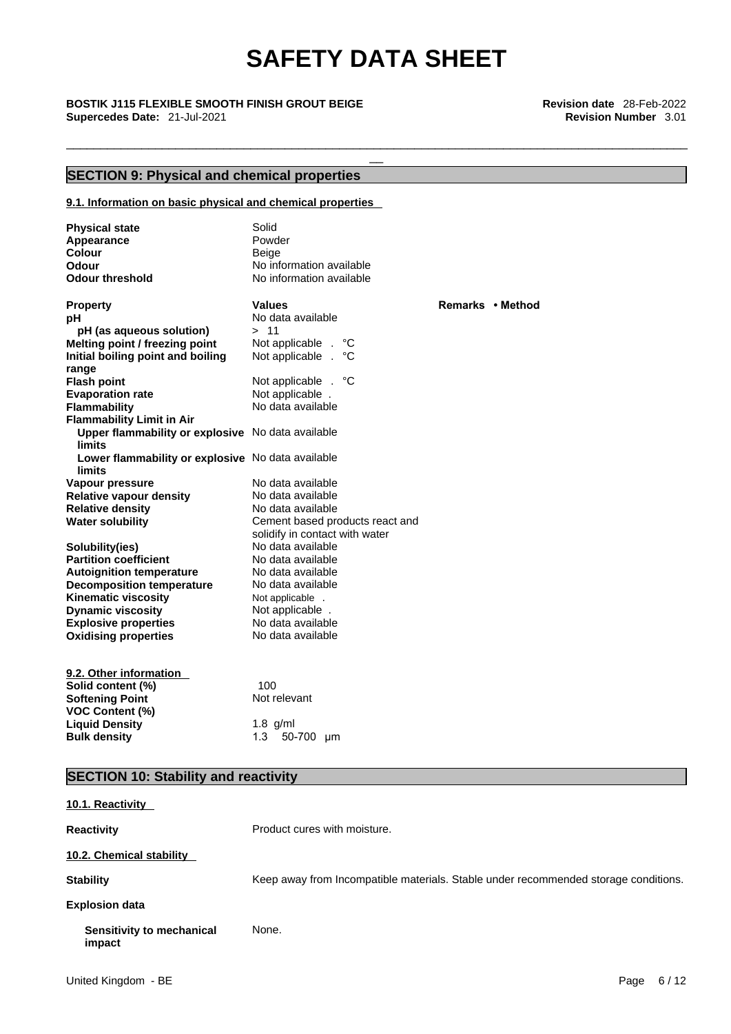\_\_\_\_\_\_\_\_\_\_\_\_\_\_\_\_\_\_\_\_\_\_\_\_\_\_\_\_\_\_\_\_\_\_\_\_\_\_\_\_\_\_\_\_\_\_\_\_\_\_\_\_\_\_\_\_\_\_\_\_\_\_\_\_\_\_\_\_\_\_\_\_\_\_\_\_\_\_\_\_\_\_\_\_\_\_\_\_\_\_\_

# \_\_ **BOSTIK J115 FLEXIBLE SMOOTH FINISH GROUT BEIGE Revision date** 28-Feb-2022 **Supercedes Date:** 21-Jul-2021 **Revision Number** 3.01

### **SECTION 9: Physical and chemical properties**

### **9.1. Information on basic physical and chemical properties**

| <b>Physical state</b><br>Appearance<br>Colour<br>Odour<br><b>Odour threshold</b>                                                  | Solid<br>Powder<br>Beige<br>No information available<br>No information available                            |                  |
|-----------------------------------------------------------------------------------------------------------------------------------|-------------------------------------------------------------------------------------------------------------|------------------|
| <b>Property</b><br>рH<br>pH (as aqueous solution)<br>Melting point / freezing point<br>Initial boiling point and boiling          | <b>Values</b><br>No data available<br>>11<br>Not applicable .<br>°С<br>Not applicable .<br>°C               | Remarks • Method |
| range<br><b>Flash point</b><br><b>Evaporation rate</b><br><b>Flammability</b><br><b>Flammability Limit in Air</b>                 | Not applicable . °C<br>Not applicable.<br>No data available                                                 |                  |
| Upper flammability or explosive No data available<br>limits<br>Lower flammability or explosive No data available<br><b>limits</b> | No data available                                                                                           |                  |
| Vapour pressure<br><b>Relative vapour density</b><br><b>Relative density</b><br><b>Water solubility</b>                           | No data available<br>No data available<br>Cement based products react and<br>solidify in contact with water |                  |
| Solubility(ies)<br><b>Partition coefficient</b><br><b>Autoignition temperature</b><br><b>Decomposition temperature</b>            | No data available<br>No data available<br>No data available<br>No data available                            |                  |
| <b>Kinematic viscosity</b><br><b>Dynamic viscosity</b><br><b>Explosive properties</b><br><b>Oxidising properties</b>              | Not applicable .<br>Not applicable.<br>No data available<br>No data available                               |                  |
| 9.2. Other information<br>Solid content (%)<br><b>Softening Point</b><br><b>VOC Content (%)</b>                                   | 100<br>Not relevant                                                                                         |                  |
| <b>Liquid Density</b><br><b>Bulk density</b>                                                                                      | $1.8$ g/ml<br>1.3<br>50-700 µm                                                                              |                  |

### **SECTION 10: Stability and reactivity**

| 10.1. Reactivity                    |                                                                                     |
|-------------------------------------|-------------------------------------------------------------------------------------|
| <b>Reactivity</b>                   | Product cures with moisture.                                                        |
| 10.2. Chemical stability            |                                                                                     |
| <b>Stability</b>                    | Keep away from Incompatible materials. Stable under recommended storage conditions. |
| <b>Explosion data</b>               |                                                                                     |
| Sensitivity to mechanical<br>impact | None.                                                                               |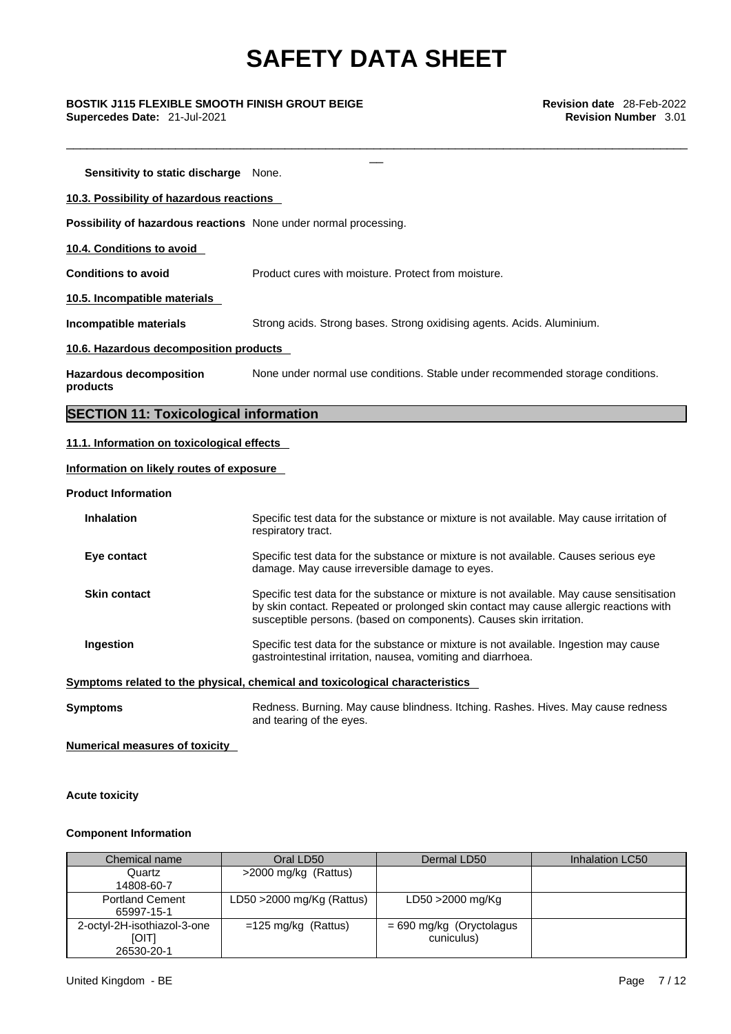\_\_\_\_\_\_\_\_\_\_\_\_\_\_\_\_\_\_\_\_\_\_\_\_\_\_\_\_\_\_\_\_\_\_\_\_\_\_\_\_\_\_\_\_\_\_\_\_\_\_\_\_\_\_\_\_\_\_\_\_\_\_\_\_\_\_\_\_\_\_\_\_\_\_\_\_\_\_\_\_\_\_\_\_\_\_\_\_\_\_\_

\_\_ **BOSTIK J115 FLEXIBLE SMOOTH FINISH GROUT BEIGE Revision date** 28-Feb-2022 **Supercedes Date:** 21-Jul-2021 **Revision Number** 3.01

**Sensitivity to static discharge** None.

**10.3. Possibility of hazardous reactions** 

**Possibility of hazardous reactions** None under normal processing.

**10.4. Conditions to avoid** 

**Conditions to avoid** Product cures with moisture. Protect from moisture.

**10.5. Incompatible materials**

**Incompatible materials** Strong acids. Strong bases. Strong oxidising agents. Acids. Aluminium.

**10.6. Hazardous decomposition products** 

**Hazardous decomposition products**  None under normal use conditions. Stable under recommended storage conditions.

### **SECTION 11: Toxicological information**

### **11.1. Information on toxicological effects**

### **Information on likely routes of exposure**

**Product Information**

| <b>Inhalation</b>   | Specific test data for the substance or mixture is not available. May cause irritation of<br>respiratory tract.                                                                                                                                           |
|---------------------|-----------------------------------------------------------------------------------------------------------------------------------------------------------------------------------------------------------------------------------------------------------|
| Eye contact         | Specific test data for the substance or mixture is not available. Causes serious eye<br>damage. May cause irreversible damage to eyes.                                                                                                                    |
| <b>Skin contact</b> | Specific test data for the substance or mixture is not available. May cause sensitisation<br>by skin contact. Repeated or prolonged skin contact may cause allergic reactions with<br>susceptible persons. (based on components). Causes skin irritation. |
| Ingestion           | Specific test data for the substance or mixture is not available. Ingestion may cause<br>gastrointestinal irritation, nausea, vomiting and diarrhoea.                                                                                                     |
|                     | Symptoms related to the physical, chemical and toxicological characteristics                                                                                                                                                                              |
| Symptoms            | Redness. Burning. May cause blindness. Itching. Rashes. Hives. May cause redness<br>and tearing of the eyes.                                                                                                                                              |

**Numerical measures of toxicity**

**Acute toxicity** 

### **Component Information**

| Chemical name                                             | Oral LD50                    | Dermal LD50                              | Inhalation LC50 |
|-----------------------------------------------------------|------------------------------|------------------------------------------|-----------------|
| Quartz                                                    | >2000 mg/kg (Rattus)         |                                          |                 |
| 14808-60-7                                                |                              |                                          |                 |
| <b>Portland Cement</b><br>65997-15-1                      | LD50 $>$ 2000 mg/Kg (Rattus) | LD50 >2000 mg/Kg                         |                 |
| 2-octyl-2H-isothiazol-3-one<br><b>[OIT]</b><br>26530-20-1 | $=125$ mg/kg (Rattus)        | $= 690$ mg/kg (Oryctolagus<br>cuniculus) |                 |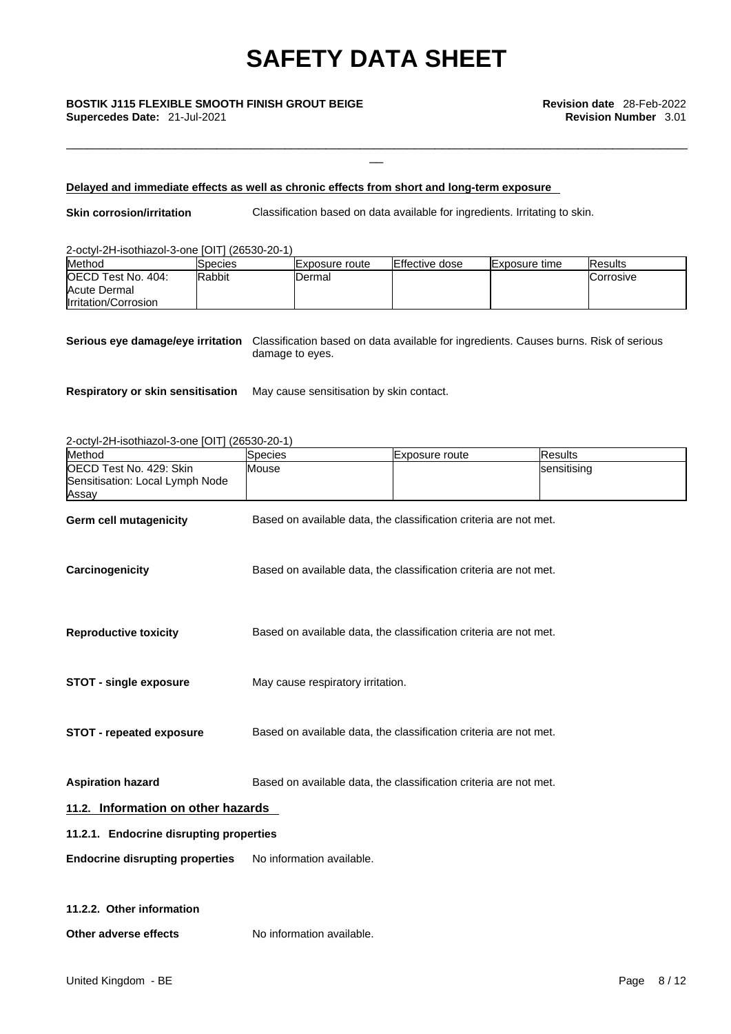\_\_ **BOSTIK J115 FLEXIBLE SMOOTH FINISH GROUT BEIGE Revision date** 28-Feb-2022 **Supercedes Date:** 21-Jul-2021 **Revision Number** 3.01

### **Delayed and immediate effects as well as chronic effects from short and long-term exposure**

**Skin corrosion/irritation** Classification based on data available for ingredients. Irritating to skin.

\_\_\_\_\_\_\_\_\_\_\_\_\_\_\_\_\_\_\_\_\_\_\_\_\_\_\_\_\_\_\_\_\_\_\_\_\_\_\_\_\_\_\_\_\_\_\_\_\_\_\_\_\_\_\_\_\_\_\_\_\_\_\_\_\_\_\_\_\_\_\_\_\_\_\_\_\_\_\_\_\_\_\_\_\_\_\_\_\_\_\_

### 2-octyl-2H-isothiazol-3-one [OIT] (26530-20-1)

| Method                                     | <b>Species</b> | IExposure route | <b>Effective dose</b> | <b>Exposure time</b> | <b>IResults</b>   |
|--------------------------------------------|----------------|-----------------|-----------------------|----------------------|-------------------|
| <b>IOECD Test No. 404:</b><br>Acute Dermal | <b>Rabbit</b>  | Dermal          |                       |                      | <b>ICorrosive</b> |
| Irritation/Corrosion                       |                |                 |                       |                      |                   |

**Serious eye damage/eye irritation** Classification based on data available for ingredients. Causes burns. Risk of serious damage to eyes.

**Respiratory or skin sensitisation** May cause sensitisation by skin contact.

### 2-octyl-2H-isothiazol-3-one [OIT] (26530-20-1)

| Method                                                              | Species                                                           | Exposure route                                                    | <b>Results</b> |
|---------------------------------------------------------------------|-------------------------------------------------------------------|-------------------------------------------------------------------|----------------|
| OECD Test No. 429: Skin<br>Sensitisation: Local Lymph Node<br>Assay | Mouse                                                             |                                                                   | sensitising    |
| Germ cell mutagenicity                                              | Based on available data, the classification criteria are not met. |                                                                   |                |
| Carcinogenicity                                                     | Based on available data, the classification criteria are not met. |                                                                   |                |
| <b>Reproductive toxicity</b>                                        |                                                                   | Based on available data, the classification criteria are not met. |                |
| <b>STOT - single exposure</b>                                       | May cause respiratory irritation.                                 |                                                                   |                |
| STOT - repeated exposure                                            | Based on available data, the classification criteria are not met. |                                                                   |                |
| <b>Aspiration hazard</b>                                            | Based on available data, the classification criteria are not met. |                                                                   |                |
| 11.2. Information on other hazards                                  |                                                                   |                                                                   |                |
| 11.2.1. Endocrine disrupting properties                             |                                                                   |                                                                   |                |
| <b>Endocrine disrupting properties</b>                              | No information available.                                         |                                                                   |                |
| 11.2.2. Other information                                           |                                                                   |                                                                   |                |
| Other adverse effects                                               | No information available.                                         |                                                                   |                |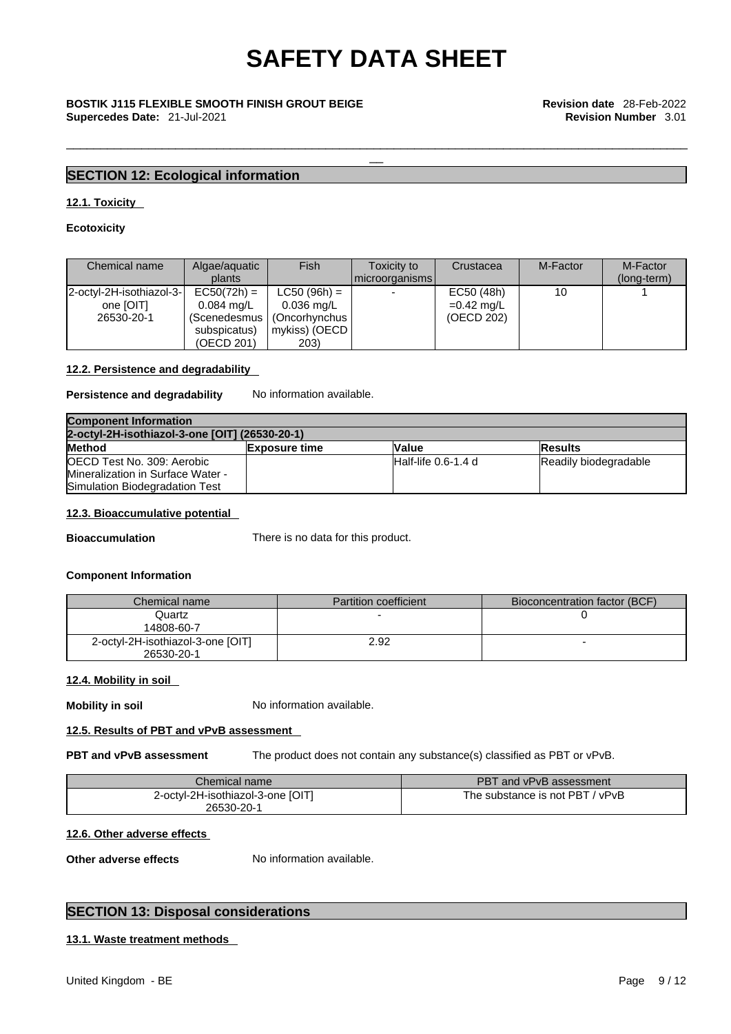\_\_\_\_\_\_\_\_\_\_\_\_\_\_\_\_\_\_\_\_\_\_\_\_\_\_\_\_\_\_\_\_\_\_\_\_\_\_\_\_\_\_\_\_\_\_\_\_\_\_\_\_\_\_\_\_\_\_\_\_\_\_\_\_\_\_\_\_\_\_\_\_\_\_\_\_\_\_\_\_\_\_\_\_\_\_\_\_\_\_\_

# \_\_ **BOSTIK J115 FLEXIBLE SMOOTH FINISH GROUT BEIGE Revision date** 28-Feb-2022 **Supercedes Date:** 21-Jul-2021 **Revision Number** 3.01

### **SECTION 12: Ecological information**

### **12.1. Toxicity**

### **Ecotoxicity**

| Chemical name                                       | Algae/aquatic<br>plants                                                               | Fish                                                                                     | Toxicity to<br>Imicroorganisms I | Crustacea                                | M-Factor | M-Factor<br>(long-term) |
|-----------------------------------------------------|---------------------------------------------------------------------------------------|------------------------------------------------------------------------------------------|----------------------------------|------------------------------------------|----------|-------------------------|
| 2-octyl-2H-isothiazol-3-<br>one [OIT]<br>26530-20-1 | $EC50(72h) =$<br>$0.084 \text{ ma/L}$<br>(Scenedesmus I<br>subspicatus)<br>(OECD 201) | $LC50 (96h) =$<br>$0.036 \,\mathrm{mag/L}$<br>(Oncorhynchus<br>  mykiss) (OECD  <br>203) | $\overline{\phantom{0}}$         | EC50 (48h)<br>$=0.42$ mg/L<br>(OECD 202) | 10       |                         |

### **12.2. Persistence and degradability**

### **Persistence and degradability** No information available.

| <b>Component Information</b>                   |                      |                        |                       |  |
|------------------------------------------------|----------------------|------------------------|-----------------------|--|
| 2-octyl-2H-isothiazol-3-one [OIT] (26530-20-1) |                      |                        |                       |  |
| <b>Method</b>                                  | <b>Exposure time</b> | <b>Value</b>           | <b>IResults</b>       |  |
| OECD Test No. 309: Aerobic                     |                      | $H$ alf-life 0.6-1.4 d | Readily biodegradable |  |
| Mineralization in Surface Water -              |                      |                        |                       |  |
| Simulation Biodegradation Test                 |                      |                        |                       |  |

### **12.3. Bioaccumulative potential**

**Bioaccumulation** There is no data for this product.

### **Component Information**

| Chemical name                                   | <b>Partition coefficient</b> | Bioconcentration factor (BCF) |
|-------------------------------------------------|------------------------------|-------------------------------|
| Quartz<br>14808-60-7                            |                              |                               |
| 2-octyl-2H-isothiazol-3-one [OIT]<br>26530-20-1 | 2.92                         |                               |

### **12.4. Mobility in soil**

**Mobility in soil** No information available.

### **12.5. Results of PBT and vPvB assessment**

**PBT and vPvB assessment** The product does not contain any substance(s) classified as PBT or vPvB.

| Chemical name                                   | PBT and vPvB assessment         |
|-------------------------------------------------|---------------------------------|
| 2-octvl-2H-isothiazol-3-one [OIT]<br>26530-20-1 | The substance is not PBT / vPvB |

### **12.6. Other adverse effects**

**Other adverse effects** No information available.

### **SECTION 13: Disposal considerations**

### **13.1. Waste treatment methods**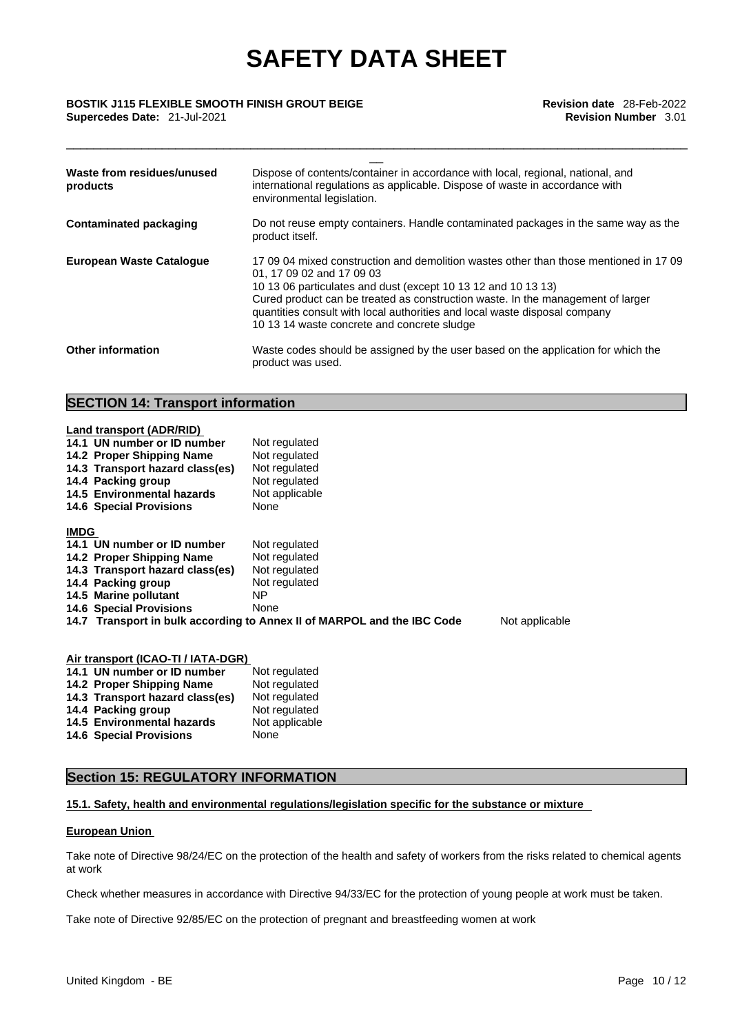\_\_\_\_\_\_\_\_\_\_\_\_\_\_\_\_\_\_\_\_\_\_\_\_\_\_\_\_\_\_\_\_\_\_\_\_\_\_\_\_\_\_\_\_\_\_\_\_\_\_\_\_\_\_\_\_\_\_\_\_\_\_\_\_\_\_\_\_\_\_\_\_\_\_\_\_\_\_\_\_\_\_\_\_\_\_\_\_\_\_\_

# \_\_ **BOSTIK J115 FLEXIBLE SMOOTH FINISH GROUT BEIGE Revision date** 28-Feb-2022 **Supercedes Date:** 21-Jul-2021 **Revision Number** 3.01

| Waste from residues/unused<br>products | Dispose of contents/container in accordance with local, regional, national, and<br>international regulations as applicable. Dispose of waste in accordance with<br>environmental legislation.                                                                                                                                                                                                       |
|----------------------------------------|-----------------------------------------------------------------------------------------------------------------------------------------------------------------------------------------------------------------------------------------------------------------------------------------------------------------------------------------------------------------------------------------------------|
| Contaminated packaging                 | Do not reuse empty containers. Handle contaminated packages in the same way as the<br>product itself.                                                                                                                                                                                                                                                                                               |
| <b>European Waste Catalogue</b>        | 17,09,04 mixed construction and demolition wastes other than those mentioned in 17,09<br>01, 17 09 02 and 17 09 03<br>10 13 06 particulates and dust (except 10 13 12 and 10 13 13)<br>Cured product can be treated as construction waste. In the management of larger<br>quantities consult with local authorities and local waste disposal company<br>10 13 14 waste concrete and concrete sludge |
| <b>Other information</b>               | Waste codes should be assigned by the user based on the application for which the<br>product was used.                                                                                                                                                                                                                                                                                              |

### **SECTION 14: Transport information**

|             | Land transport (ADR/RID)                                                                                                                                                          |                                                                         |                |
|-------------|-----------------------------------------------------------------------------------------------------------------------------------------------------------------------------------|-------------------------------------------------------------------------|----------------|
|             | 14.1 UN number or ID number                                                                                                                                                       | Not regulated                                                           |                |
|             | 14.2 Proper Shipping Name                                                                                                                                                         | Not regulated                                                           |                |
|             | 14.3 Transport hazard class(es)                                                                                                                                                   | Not regulated                                                           |                |
|             | 14.4 Packing group                                                                                                                                                                | Not regulated                                                           |                |
|             | 14.5 Environmental hazards                                                                                                                                                        | Not applicable                                                          |                |
|             | <b>14.6 Special Provisions</b>                                                                                                                                                    | None                                                                    |                |
| <b>IMDG</b> |                                                                                                                                                                                   |                                                                         |                |
|             | 14.1 UN number or ID number                                                                                                                                                       | Not regulated                                                           |                |
|             | 14.2 Proper Shipping Name                                                                                                                                                         | Not regulated                                                           |                |
|             | 14.3 Transport hazard class(es)                                                                                                                                                   | Not regulated                                                           |                |
|             | 14.4 Packing group                                                                                                                                                                | Not regulated                                                           |                |
|             | 14.5 Marine pollutant                                                                                                                                                             | NP.                                                                     |                |
|             | <b>14.6 Special Provisions</b>                                                                                                                                                    | None                                                                    |                |
|             |                                                                                                                                                                                   | 14.7 Transport in bulk according to Annex II of MARPOL and the IBC Code | Not applicable |
|             |                                                                                                                                                                                   |                                                                         |                |
|             | $\mathbf{A}$ , $\mathbf{A}$ , $\mathbf{A}$ , $\mathbf{A}$ , $\mathbf{A}$ , $\mathbf{A}$ , $\mathbf{A}$ , $\mathbf{A}$ , $\mathbf{A}$ , $\mathbf{A}$ , $\mathbf{A}$ , $\mathbf{A}$ |                                                                         |                |

| Air transport (ICAO-TI / IATA-DGR) |                |  |
|------------------------------------|----------------|--|
| 14.1 UN number or ID number        | Not regulated  |  |
| 14.2 Proper Shipping Name          | Not regulated  |  |
| 14.3 Transport hazard class(es)    | Not regulated  |  |
| 14.4 Packing group                 |                |  |
| 14.5 Environmental hazards         | Not applicable |  |
| <b>14.6 Special Provisions</b>     | None           |  |
|                                    | Not regulated  |  |

### **Section 15: REGULATORY INFORMATION**

### **15.1. Safety, health and environmental regulations/legislation specific for the substance or mixture**

### **European Union**

Take note of Directive 98/24/EC on the protection of the health and safety of workers from the risks related to chemical agents at work

Check whether measures in accordance with Directive 94/33/EC for the protection of young people at work must be taken.

Take note of Directive 92/85/EC on the protection of pregnant and breastfeeding women at work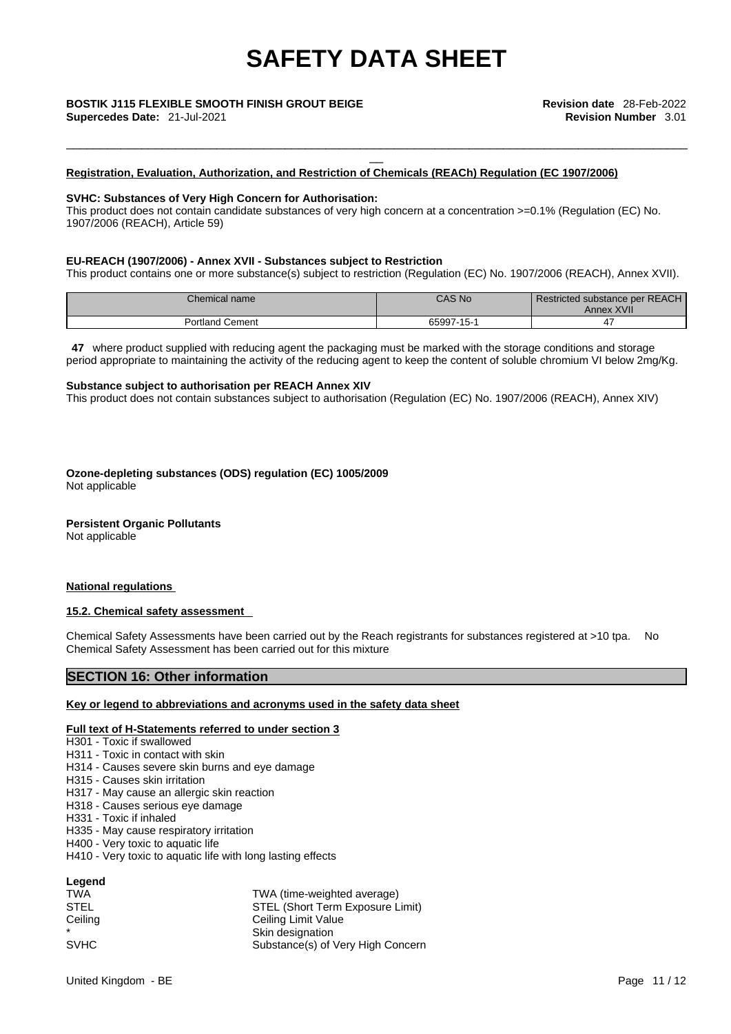\_\_\_\_\_\_\_\_\_\_\_\_\_\_\_\_\_\_\_\_\_\_\_\_\_\_\_\_\_\_\_\_\_\_\_\_\_\_\_\_\_\_\_\_\_\_\_\_\_\_\_\_\_\_\_\_\_\_\_\_\_\_\_\_\_\_\_\_\_\_\_\_\_\_\_\_\_\_\_\_\_\_\_\_\_\_\_\_\_\_\_

### **Registration, Evaluation, Authorization, and Restriction of Chemicals (REACh) Regulation (EC 1907/2006)**

### **SVHC: Substances of Very High Concern for Authorisation:**

This product does not contain candidate substances of very high concern at a concentration >=0.1% (Regulation (EC) No. 1907/2006 (REACH), Article 59)

### **EU-REACH (1907/2006) - Annex XVII - Substances subject to Restriction**

This product contains one or more substance(s) subject to restriction (Regulation (EC) No. 1907/2006 (REACH), Annex XVII).

| Chemical name      | CAS No                                  | Restricted substance per REACH<br>Annex XVII |
|--------------------|-----------------------------------------|----------------------------------------------|
| Cement<br>Portland | $\overline{A}$<br>65997<br>$-12$<br>. J |                                              |

**47** where product supplied with reducing agent the packaging must be marked with the storage conditions and storage period appropriate to maintaining the activity of the reducing agent to keep the content of soluble chromium VI below 2mg/Kg.

### **Substance subject to authorisation per REACH Annex XIV**

This product does not contain substances subject to authorisation (Regulation (EC) No. 1907/2006 (REACH), Annex XIV)

**Ozone-depleting substances (ODS) regulation (EC) 1005/2009** Not applicable

### **Persistent Organic Pollutants**

Not applicable

### **National regulations**

### **15.2. Chemical safety assessment**

Chemical Safety Assessments have been carried out by the Reach registrants for substances registered at >10 tpa. No Chemical Safety Assessment has been carried out for this mixture

### **SECTION 16: Other information**

### **Key or legend to abbreviations and acronyms used in the safety data sheet**

### **Full text of H-Statements referred to under section 3**

H301 - Toxic if swallowed

- H311 Toxic in contact with skin
- H314 Causes severe skin burns and eye damage
- H315 Causes skin irritation
- H317 May cause an allergic skin reaction
- H318 Causes serious eye damage
- H331 Toxic if inhaled
- H335 May cause respiratory irritation
- H400 Very toxic to aquatic life
- H410 Very toxic to aquatic life with long lasting effects

| Legend    |  |
|-----------|--|
| — 1 A J A |  |

| <b>TWA</b>  | TWA (time-weighted average)       |
|-------------|-----------------------------------|
| <b>STEL</b> | STEL (Short Term Exposure Limit)  |
| Ceiling     | Ceiling Limit Value               |
|             | Skin designation                  |
| <b>SVHC</b> | Substance(s) of Very High Concern |